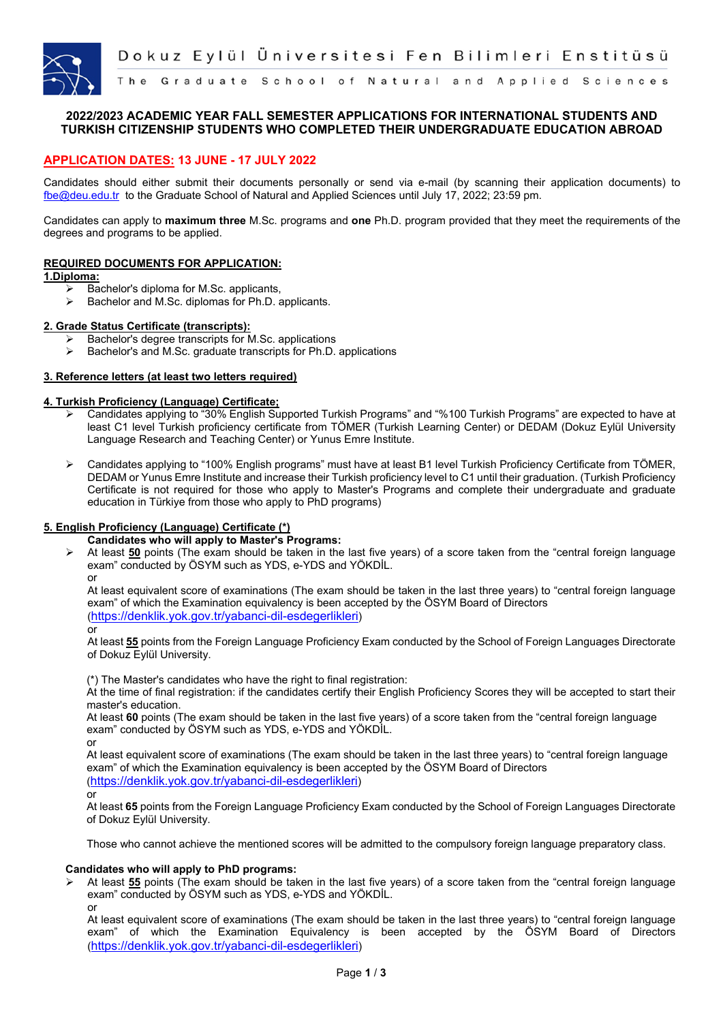

## **2022/2023 ACADEMIC YEAR FALL SEMESTER APPLICATIONS FOR INTERNATIONAL STUDENTS AND TURKISH CITIZENSHIP STUDENTS WHO COMPLETED THEIR UNDERGRADUATE EDUCATION ABROAD**

## **APPLICATION DATES: 13 JUNE - 17 JULY 2022**

Candidates should either submit their documents personally or send via e-mail (by scanning their application documents) to fbe@deu.edu.tr to the Graduate School of Natural and Applied Sciences until July 17, 2022; 23:59 pm.

Candidates can apply to **maximum three** M.Sc. programs and **one** Ph.D. program provided that they meet the requirements of the degrees and programs to be applied.

#### **REQUIRED DOCUMENTS FOR APPLICATION:**

#### **1.Diploma:**

- $\triangleright$  Bachelor's diploma for M.Sc. applicants,<br> $\triangleright$  Bachelor and M.Sc. diplomas for Ph.D.
- Bachelor and M.Sc. diplomas for Ph.D. applicants.

#### **2. Grade Status Certificate (transcripts):**

- $\triangleright$  Bachelor's degree transcripts for M.Sc. applications
- Bachelor's and M.Sc. graduate transcripts for Ph.D. applications

# **3. Reference letters (at least two letters required)**

#### **4. Turkish Proficiency (Language) Certificate;**

- Candidates applying to "30% English Supported Turkish Programs" and "%100 Turkish Programs" are expected to have at least C1 level Turkish proficiency certificate from TÖMER (Turkish Learning Center) or DEDAM (Dokuz Eylül University Language Research and Teaching Center) or Yunus Emre Institute.
- Candidates applying to "100% English programs" must have at least B1 level Turkish Proficiency Certificate from TÖMER, DEDAM or Yunus Emre Institute and increase their Turkish proficiency level to C1 until their graduation. (Turkish Proficiency Certificate is not required for those who apply to Master's Programs and complete their undergraduate and graduate education in Türkiye from those who apply to PhD programs)

#### **5. English Proficiency (Language) Certificate (\*)**

#### **Candidates who will apply to Master's Programs:**

 At least **50** points (The exam should be taken in the last five years) of a score taken from the "central foreign language exam" conducted by ÖSYM such as YDS, e-YDS and YÖKDİL. or

At least equivalent score of examinations (The exam should be taken in the last three years) to "central foreign language exam" of which the Examination equivalency is been accepted by the ÖSYM Board of Directors (https://denklik.yok.gov.tr/yabanci-dil-esdegerlikleri)

At least **55** points from the Foreign Language Proficiency Exam conducted by the School of Foreign Languages Directorate of Dokuz Eylül University.

(\*) The Master's candidates who have the right to final registration:

At the time of final registration: if the candidates certify their English Proficiency Scores they will be accepted to start their master's education.

At least **60** points (The exam should be taken in the last five years) of a score taken from the "central foreign language exam" conducted by ÖSYM such as YDS, e-YDS and YÖKDİL.

or

At least equivalent score of examinations (The exam should be taken in the last three years) to "central foreign language exam" of which the Examination equivalency is been accepted by the ÖSYM Board of Directors (https://denklik.yok.gov.tr/yabanci-dil-esdegerlikleri)

or

or

At least **65** points from the Foreign Language Proficiency Exam conducted by the School of Foreign Languages Directorate of Dokuz Eylül University.

Those who cannot achieve the mentioned scores will be admitted to the compulsory foreign language preparatory class.

### **Candidates who will apply to PhD programs:**

 At least **55** points (The exam should be taken in the last five years) of a score taken from the "central foreign language exam" conducted by ÖSYM such as YDS, e-YDS and YÖKDİL.

At least equivalent score of examinations (The exam should be taken in the last three years) to "central foreign language exam" of which the Examination Equivalency is been accepted by the ÖSYM Board of Directors (https://denklik.yok.gov.tr/yabanci-dil-esdegerlikleri)

or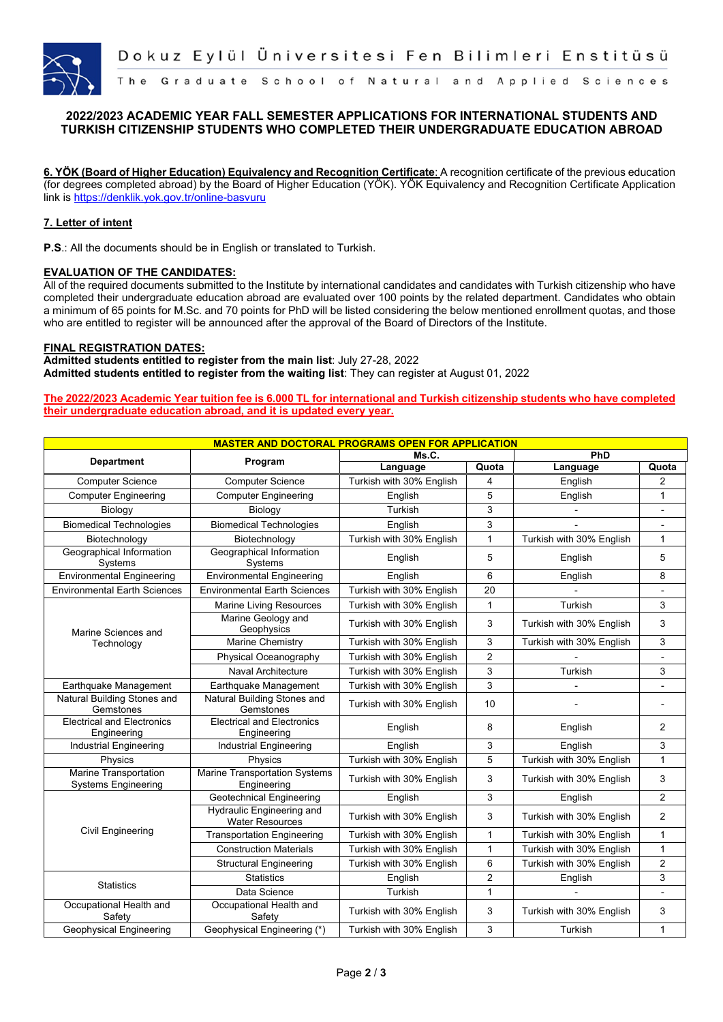

## **2022/2023 ACADEMIC YEAR FALL SEMESTER APPLICATIONS FOR INTERNATIONAL STUDENTS AND TURKISH CITIZENSHIP STUDENTS WHO COMPLETED THEIR UNDERGRADUATE EDUCATION ABROAD**

**6. YÖK (Board of Higher Education) Equivalency and Recognition Certificate**: A recognition certificate of the previous education (for degrees completed abroad) by the Board of Higher Education (YÖK). YÖK Equivalency and Recognition Certificate Application link is https://denklik.yok.gov.tr/online-basvuru

#### **7. Letter of intent**

**P.S**.: All the documents should be in English or translated to Turkish.

#### **EVALUATION OF THE CANDIDATES:**

All of the required documents submitted to the Institute by international candidates and candidates with Turkish citizenship who have completed their undergraduate education abroad are evaluated over 100 points by the related department. Candidates who obtain a minimum of 65 points for M.Sc. and 70 points for PhD will be listed considering the below mentioned enrollment quotas, and those who are entitled to register will be announced after the approval of the Board of Directors of the Institute.

#### **FINAL REGISTRATION DATES:**

**Admitted students entitled to register from the main list**: July 27-28, 2022 **Admitted students entitled to register from the waiting list**: They can register at August 01, 2022

**The 2022/2023 Academic Year tuition fee is 6.000 TL for international and Turkish citizenship students who have completed their undergraduate education abroad, and it is updated every year.**

| <b>MASTER AND DOCTORAL PROGRAMS OPEN FOR APPLICATION</b> |                                                            |                          |                |                          |                          |  |  |  |  |
|----------------------------------------------------------|------------------------------------------------------------|--------------------------|----------------|--------------------------|--------------------------|--|--|--|--|
| <b>Department</b>                                        | Program                                                    | Ms.C.                    |                | PhD                      |                          |  |  |  |  |
|                                                          |                                                            | Language                 | Quota          | Language                 | Quota                    |  |  |  |  |
| <b>Computer Science</b>                                  | <b>Computer Science</b>                                    | Turkish with 30% English | 4              | English                  | $\overline{2}$           |  |  |  |  |
| <b>Computer Engineering</b>                              | <b>Computer Engineering</b>                                | English                  | 5              | English                  | $\mathbf{1}$             |  |  |  |  |
| Biology                                                  | Biology                                                    | Turkish                  | 3              |                          | $\overline{\phantom{0}}$ |  |  |  |  |
| <b>Biomedical Technologies</b>                           | <b>Biomedical Technologies</b>                             | English                  | 3              |                          |                          |  |  |  |  |
| Biotechnology                                            | Biotechnology                                              | Turkish with 30% English | $\mathbf{1}$   | Turkish with 30% English | $\mathbf{1}$             |  |  |  |  |
| Geographical Information<br>Systems                      | Geographical Information<br>Systems                        | English                  | 5              | English                  | 5                        |  |  |  |  |
| <b>Environmental Engineering</b>                         | <b>Environmental Engineering</b>                           | English                  | 6              | English                  | 8                        |  |  |  |  |
| <b>Environmental Earth Sciences</b>                      | <b>Environmental Earth Sciences</b>                        | Turkish with 30% English | 20             |                          |                          |  |  |  |  |
| Marine Sciences and<br>Technology                        | <b>Marine Living Resources</b>                             | Turkish with 30% English | $\mathbf{1}$   | Turkish                  | 3                        |  |  |  |  |
|                                                          | Marine Geology and<br>Geophysics                           | Turkish with 30% English | 3              | Turkish with 30% English | 3                        |  |  |  |  |
|                                                          | <b>Marine Chemistry</b>                                    | Turkish with 30% English | 3              | Turkish with 30% English | 3                        |  |  |  |  |
|                                                          | Physical Oceanography                                      | Turkish with 30% English | $\overline{2}$ |                          |                          |  |  |  |  |
|                                                          | Naval Architecture                                         | Turkish with 30% English | 3              | Turkish                  | 3                        |  |  |  |  |
| Earthquake Management                                    | Earthquake Management                                      | Turkish with 30% English | 3              |                          |                          |  |  |  |  |
| <b>Natural Building Stones and</b><br>Gemstones          | <b>Natural Building Stones and</b><br>Gemstones            | Turkish with 30% English | 10             |                          |                          |  |  |  |  |
| <b>Electrical and Electronics</b><br>Engineering         | <b>Electrical and Electronics</b><br>Engineering           | English                  | 8              | English                  | $\overline{2}$           |  |  |  |  |
| <b>Industrial Engineering</b>                            | <b>Industrial Engineering</b>                              | English                  | 3              | English                  | 3                        |  |  |  |  |
| Physics                                                  | Physics                                                    | Turkish with 30% English | 5              | Turkish with 30% English | $\mathbf{1}$             |  |  |  |  |
| Marine Transportation<br><b>Systems Engineering</b>      | <b>Marine Transportation Systems</b><br>Engineering        | Turkish with 30% English | 3              | Turkish with 30% English | 3                        |  |  |  |  |
| Civil Engineering                                        | Geotechnical Engineering                                   | English                  | 3              | English                  | $\overline{2}$           |  |  |  |  |
|                                                          | <b>Hydraulic Engineering and</b><br><b>Water Resources</b> | Turkish with 30% English | 3              | Turkish with 30% English | $\overline{2}$           |  |  |  |  |
|                                                          | <b>Transportation Engineering</b>                          | Turkish with 30% English | $\mathbf{1}$   | Turkish with 30% English | $\mathbf{1}$             |  |  |  |  |
|                                                          | <b>Construction Materials</b>                              | Turkish with 30% English | $\mathbf{1}$   | Turkish with 30% English | $\mathbf{1}$             |  |  |  |  |
|                                                          | <b>Structural Engineering</b>                              | Turkish with 30% English | 6              | Turkish with 30% English | $\overline{a}$           |  |  |  |  |
| <b>Statistics</b>                                        | <b>Statistics</b>                                          | English                  | 2              | English                  | 3                        |  |  |  |  |
|                                                          | Data Science                                               | Turkish                  | $\mathbf{1}$   |                          | $\blacksquare$           |  |  |  |  |
| Occupational Health and<br>Safety                        | Occupational Health and<br>Safety                          | Turkish with 30% English | 3              | Turkish with 30% English | 3                        |  |  |  |  |
| <b>Geophysical Engineering</b>                           | Geophysical Engineering (*)                                | Turkish with 30% English | 3              | Turkish                  | $\mathbf{1}$             |  |  |  |  |